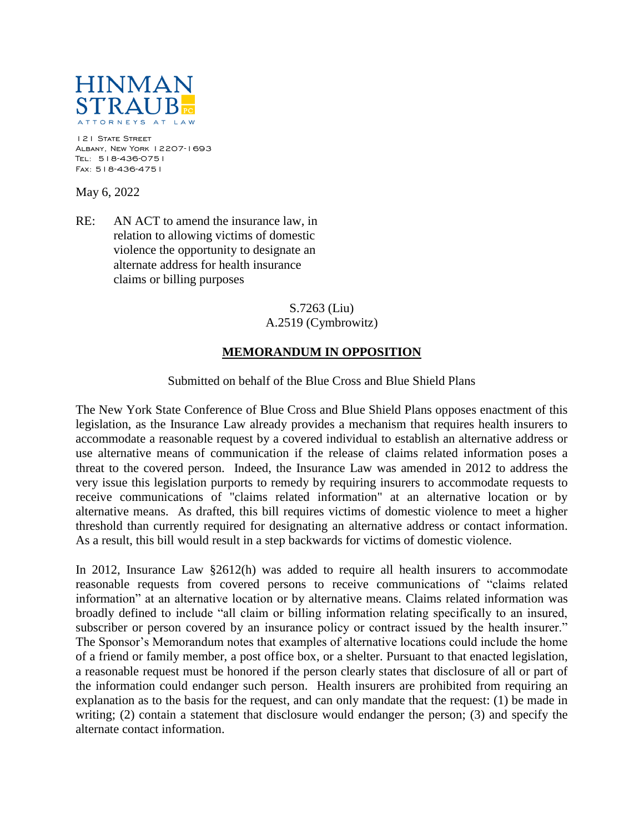

121 STATE STREET Albany, New York 12207-1693 Tel: 518-436-0751 Fax: 518-436-4751

May 6, 2022

RE: AN ACT to amend the insurance law, in relation to allowing victims of domestic violence the opportunity to designate an alternate address for health insurance claims or billing purposes

## S.7263 (Liu) A.2519 (Cymbrowitz)

## **MEMORANDUM IN OPPOSITION**

## Submitted on behalf of the Blue Cross and Blue Shield Plans

The New York State Conference of Blue Cross and Blue Shield Plans opposes enactment of this legislation, as the Insurance Law already provides a mechanism that requires health insurers to accommodate a reasonable request by a covered individual to establish an alternative address or use alternative means of communication if the release of claims related information poses a threat to the covered person. Indeed, the Insurance Law was amended in 2012 to address the very issue this legislation purports to remedy by requiring insurers to accommodate requests to receive communications of "claims related information" at an alternative location or by alternative means. As drafted, this bill requires victims of domestic violence to meet a higher threshold than currently required for designating an alternative address or contact information. As a result, this bill would result in a step backwards for victims of domestic violence.

In 2012, Insurance Law §2612(h) was added to require all health insurers to accommodate reasonable requests from covered persons to receive communications of "claims related information" at an alternative location or by alternative means. Claims related information was broadly defined to include "all claim or billing information relating specifically to an insured, subscriber or person covered by an insurance policy or contract issued by the health insurer." The Sponsor's Memorandum notes that examples of alternative locations could include the home of a friend or family member, a post office box, or a shelter. Pursuant to that enacted legislation, a reasonable request must be honored if the person clearly states that disclosure of all or part of the information could endanger such person. Health insurers are prohibited from requiring an explanation as to the basis for the request, and can only mandate that the request: (1) be made in writing; (2) contain a statement that disclosure would endanger the person; (3) and specify the alternate contact information.